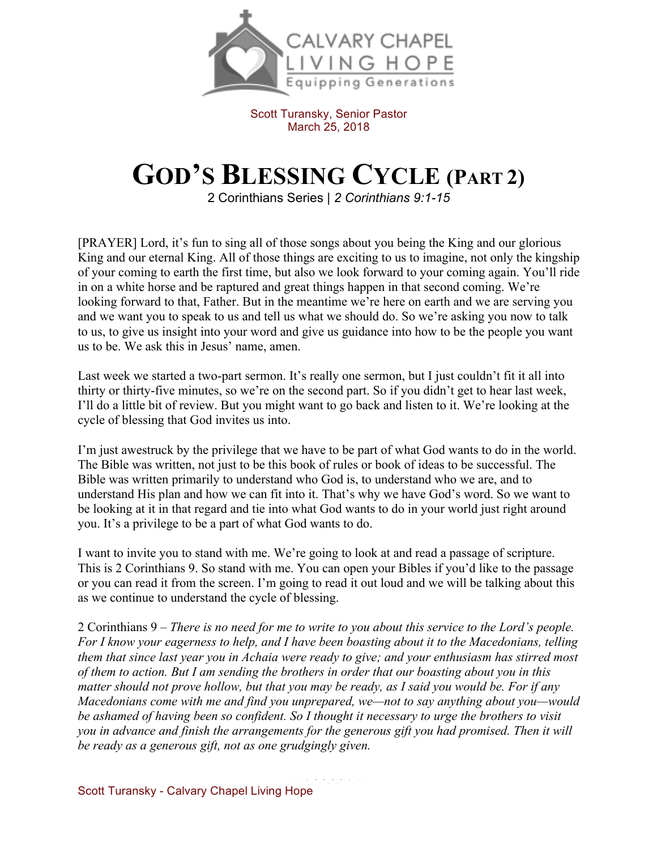

Scott Turansky, Senior Pastor March 25, 2018

## **GOD'S BLESSING CYCLE (PART 2)**

2 Corinthians Series | *2 Corinthians 9:1-15*

[PRAYER] Lord, it's fun to sing all of those songs about you being the King and our glorious King and our eternal King. All of those things are exciting to us to imagine, not only the kingship of your coming to earth the first time, but also we look forward to your coming again. You'll ride in on a white horse and be raptured and great things happen in that second coming. We're looking forward to that, Father. But in the meantime we're here on earth and we are serving you and we want you to speak to us and tell us what we should do. So we're asking you now to talk to us, to give us insight into your word and give us guidance into how to be the people you want us to be. We ask this in Jesus' name, amen.

Last week we started a two-part sermon. It's really one sermon, but I just couldn't fit it all into thirty or thirty-five minutes, so we're on the second part. So if you didn't get to hear last week, I'll do a little bit of review. But you might want to go back and listen to it. We're looking at the cycle of blessing that God invites us into.

I'm just awestruck by the privilege that we have to be part of what God wants to do in the world. The Bible was written, not just to be this book of rules or book of ideas to be successful. The Bible was written primarily to understand who God is, to understand who we are, and to understand His plan and how we can fit into it. That's why we have God's word. So we want to be looking at it in that regard and tie into what God wants to do in your world just right around you. It's a privilege to be a part of what God wants to do.

I want to invite you to stand with me. We're going to look at and read a passage of scripture. This is 2 Corinthians 9. So stand with me. You can open your Bibles if you'd like to the passage or you can read it from the screen. I'm going to read it out loud and we will be talking about this as we continue to understand the cycle of blessing.

2 Corinthians 9 – *There is no need for me to write to you about this service to the Lord's people. For I know your eagerness to help, and I have been boasting about it to the Macedonians, telling them that since last year you in Achaia were ready to give; and your enthusiasm has stirred most of them to action. But I am sending the brothers in order that our boasting about you in this matter should not prove hollow, but that you may be ready, as I said you would be. For if any Macedonians come with me and find you unprepared, we—not to say anything about you—would be ashamed of having been so confident. So I thought it necessary to urge the brothers to visit you in advance and finish the arrangements for the generous gift you had promised. Then it will be ready as a generous gift, not as one grudgingly given.*

Scott Turansky - Calvary Chapel Living Hope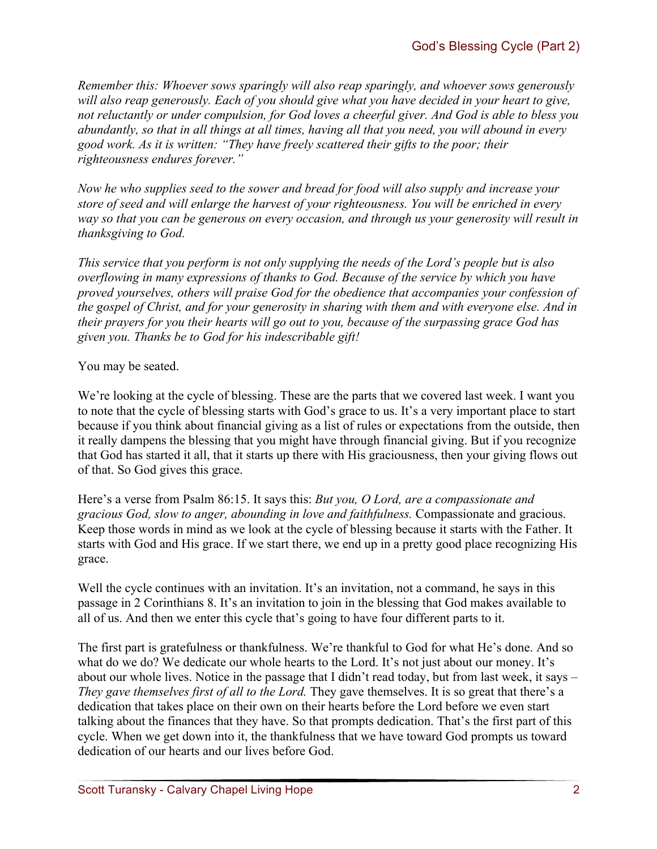*Remember this: Whoever sows sparingly will also reap sparingly, and whoever sows generously will also reap generously. Each of you should give what you have decided in your heart to give, not reluctantly or under compulsion, for God loves a cheerful giver. And God is able to bless you abundantly, so that in all things at all times, having all that you need, you will abound in every good work. As it is written: "They have freely scattered their gifts to the poor; their righteousness endures forever."*

*Now he who supplies seed to the sower and bread for food will also supply and increase your store of seed and will enlarge the harvest of your righteousness. You will be enriched in every way so that you can be generous on every occasion, and through us your generosity will result in thanksgiving to God.*

*This service that you perform is not only supplying the needs of the Lord's people but is also overflowing in many expressions of thanks to God. Because of the service by which you have proved yourselves, others will praise God for the obedience that accompanies your confession of the gospel of Christ, and for your generosity in sharing with them and with everyone else. And in their prayers for you their hearts will go out to you, because of the surpassing grace God has given you. Thanks be to God for his indescribable gift!*

You may be seated.

We're looking at the cycle of blessing. These are the parts that we covered last week. I want you to note that the cycle of blessing starts with God's grace to us. It's a very important place to start because if you think about financial giving as a list of rules or expectations from the outside, then it really dampens the blessing that you might have through financial giving. But if you recognize that God has started it all, that it starts up there with His graciousness, then your giving flows out of that. So God gives this grace.

Here's a verse from Psalm 86:15. It says this: *But you, O Lord, are a compassionate and gracious God, slow to anger, abounding in love and faithfulness.* Compassionate and gracious. Keep those words in mind as we look at the cycle of blessing because it starts with the Father. It starts with God and His grace. If we start there, we end up in a pretty good place recognizing His grace.

Well the cycle continues with an invitation. It's an invitation, not a command, he says in this passage in 2 Corinthians 8. It's an invitation to join in the blessing that God makes available to all of us. And then we enter this cycle that's going to have four different parts to it.

The first part is gratefulness or thankfulness. We're thankful to God for what He's done. And so what do we do? We dedicate our whole hearts to the Lord. It's not just about our money. It's about our whole lives. Notice in the passage that I didn't read today, but from last week, it says – *They gave themselves first of all to the Lord.* They gave themselves. It is so great that there's a dedication that takes place on their own on their hearts before the Lord before we even start talking about the finances that they have. So that prompts dedication. That's the first part of this cycle. When we get down into it, the thankfulness that we have toward God prompts us toward dedication of our hearts and our lives before God.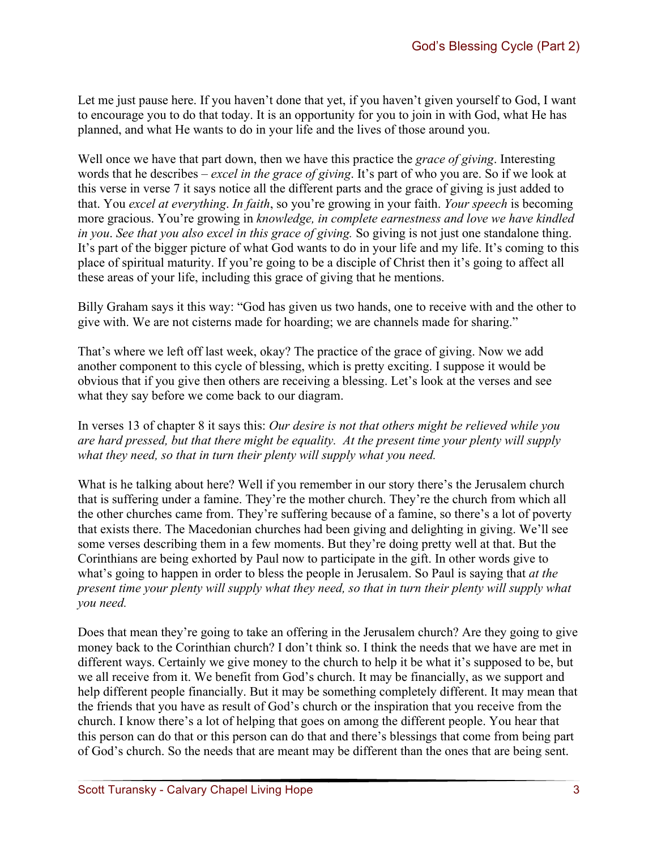Let me just pause here. If you haven't done that yet, if you haven't given yourself to God, I want to encourage you to do that today. It is an opportunity for you to join in with God, what He has planned, and what He wants to do in your life and the lives of those around you.

Well once we have that part down, then we have this practice the *grace of giving*. Interesting words that he describes – *excel in the grace of giving*. It's part of who you are. So if we look at this verse in verse 7 it says notice all the different parts and the grace of giving is just added to that. You *excel at everything*. *In faith*, so you're growing in your faith. *Your speech* is becoming more gracious. You're growing in *knowledge, in complete earnestness and love we have kindled in you*. *See that you also excel in this grace of giving.* So giving is not just one standalone thing. It's part of the bigger picture of what God wants to do in your life and my life. It's coming to this place of spiritual maturity. If you're going to be a disciple of Christ then it's going to affect all these areas of your life, including this grace of giving that he mentions.

Billy Graham says it this way: "God has given us two hands, one to receive with and the other to give with. We are not cisterns made for hoarding; we are channels made for sharing."

That's where we left off last week, okay? The practice of the grace of giving. Now we add another component to this cycle of blessing, which is pretty exciting. I suppose it would be obvious that if you give then others are receiving a blessing. Let's look at the verses and see what they say before we come back to our diagram.

## In verses 13 of chapter 8 it says this: *Our desire is not that others might be relieved while you are hard pressed, but that there might be equality. At the present time your plenty will supply what they need, so that in turn their plenty will supply what you need.*

What is he talking about here? Well if you remember in our story there's the Jerusalem church that is suffering under a famine. They're the mother church. They're the church from which all the other churches came from. They're suffering because of a famine, so there's a lot of poverty that exists there. The Macedonian churches had been giving and delighting in giving. We'll see some verses describing them in a few moments. But they're doing pretty well at that. But the Corinthians are being exhorted by Paul now to participate in the gift. In other words give to what's going to happen in order to bless the people in Jerusalem. So Paul is saying that *at the present time your plenty will supply what they need, so that in turn their plenty will supply what you need.*

Does that mean they're going to take an offering in the Jerusalem church? Are they going to give money back to the Corinthian church? I don't think so. I think the needs that we have are met in different ways. Certainly we give money to the church to help it be what it's supposed to be, but we all receive from it. We benefit from God's church. It may be financially, as we support and help different people financially. But it may be something completely different. It may mean that the friends that you have as result of God's church or the inspiration that you receive from the church. I know there's a lot of helping that goes on among the different people. You hear that this person can do that or this person can do that and there's blessings that come from being part of God's church. So the needs that are meant may be different than the ones that are being sent.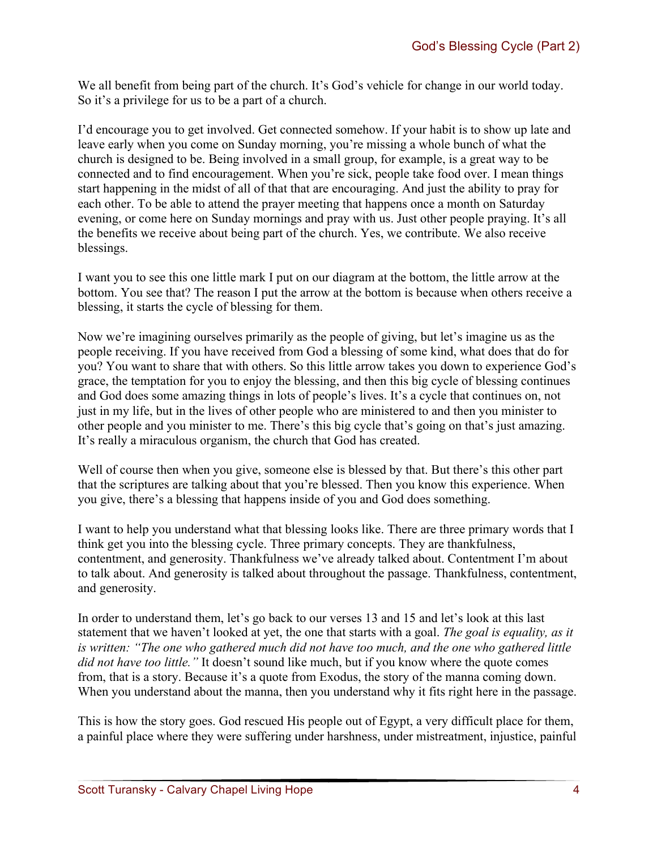We all benefit from being part of the church. It's God's vehicle for change in our world today. So it's a privilege for us to be a part of a church.

I'd encourage you to get involved. Get connected somehow. If your habit is to show up late and leave early when you come on Sunday morning, you're missing a whole bunch of what the church is designed to be. Being involved in a small group, for example, is a great way to be connected and to find encouragement. When you're sick, people take food over. I mean things start happening in the midst of all of that that are encouraging. And just the ability to pray for each other. To be able to attend the prayer meeting that happens once a month on Saturday evening, or come here on Sunday mornings and pray with us. Just other people praying. It's all the benefits we receive about being part of the church. Yes, we contribute. We also receive blessings.

I want you to see this one little mark I put on our diagram at the bottom, the little arrow at the bottom. You see that? The reason I put the arrow at the bottom is because when others receive a blessing, it starts the cycle of blessing for them.

Now we're imagining ourselves primarily as the people of giving, but let's imagine us as the people receiving. If you have received from God a blessing of some kind, what does that do for you? You want to share that with others. So this little arrow takes you down to experience God's grace, the temptation for you to enjoy the blessing, and then this big cycle of blessing continues and God does some amazing things in lots of people's lives. It's a cycle that continues on, not just in my life, but in the lives of other people who are ministered to and then you minister to other people and you minister to me. There's this big cycle that's going on that's just amazing. It's really a miraculous organism, the church that God has created.

Well of course then when you give, someone else is blessed by that. But there's this other part that the scriptures are talking about that you're blessed. Then you know this experience. When you give, there's a blessing that happens inside of you and God does something.

I want to help you understand what that blessing looks like. There are three primary words that I think get you into the blessing cycle. Three primary concepts. They are thankfulness, contentment, and generosity. Thankfulness we've already talked about. Contentment I'm about to talk about. And generosity is talked about throughout the passage. Thankfulness, contentment, and generosity.

In order to understand them, let's go back to our verses 13 and 15 and let's look at this last statement that we haven't looked at yet, the one that starts with a goal. *The goal is equality, as it is written: "The one who gathered much did not have too much, and the one who gathered little did not have too little."* It doesn't sound like much, but if you know where the quote comes from, that is a story. Because it's a quote from Exodus, the story of the manna coming down. When you understand about the manna, then you understand why it fits right here in the passage.

This is how the story goes. God rescued His people out of Egypt, a very difficult place for them, a painful place where they were suffering under harshness, under mistreatment, injustice, painful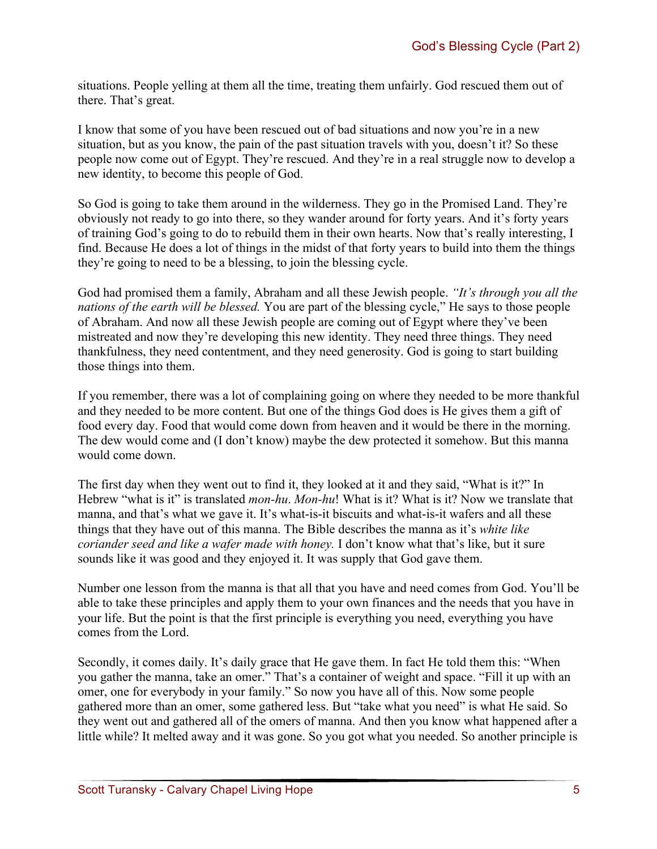situations. People yelling at them all the time, treating them unfairly. God rescued them out of there. That's great.

I know that some of you have been rescued out of bad situations and now you're in a new situation, but as you know, the pain of the past situation travels with you, doesn't it? So these people now come out of Egypt. They're rescued. And they're in a real struggle now to develop a new identity, to become this people of God.

So God is going to take them around in the wilderness. They go in the Promised Land. They're obviously not ready to go into there, so they wander around for forty years. And it's forty years of training God's going to do to rebuild them in their own hearts. Now that's really interesting, I find. Because He does a lot of things in the midst of that forty years to build into them the things they're going to need to be a blessing, to join the blessing cycle.

God had promised them a family, Abraham and all these Jewish people. *"It's through you all the nations of the earth will be blessed.* You are part of the blessing cycle," He says to those people of Abraham. And now all these Jewish people are coming out of Egypt where they've been mistreated and now they're developing this new identity. They need three things. They need thankfulness, they need contentment, and they need generosity. God is going to start building those things into them.

If you remember, there was a lot of complaining going on where they needed to be more thankful and they needed to be more content. But one of the things God does is He gives them a gift of food every day. Food that would come down from heaven and it would be there in the morning. The dew would come and (I don't know) maybe the dew protected it somehow. But this manna would come down.

The first day when they went out to find it, they looked at it and they said, "What is it?" In Hebrew "what is it" is translated *mon-hu*. *Mon-hu*! What is it? What is it? Now we translate that manna, and that's what we gave it. It's what-is-it biscuits and what-is-it wafers and all these things that they have out of this manna. The Bible describes the manna as it's *white like coriander seed and like a wafer made with honey.* I don't know what that's like, but it sure sounds like it was good and they enjoyed it. It was supply that God gave them.

Number one lesson from the manna is that all that you have and need comes from God. You'll be able to take these principles and apply them to your own finances and the needs that you have in your life. But the point is that the first principle is everything you need, everything you have comes from the Lord.

Secondly, it comes daily. It's daily grace that He gave them. In fact He told them this: "When you gather the manna, take an omer." That's a container of weight and space. "Fill it up with an omer, one for everybody in your family." So now you have all of this. Now some people gathered more than an omer, some gathered less. But "take what you need" is what He said. So they went out and gathered all of the omers of manna. And then you know what happened after a little while? It melted away and it was gone. So you got what you needed. So another principle is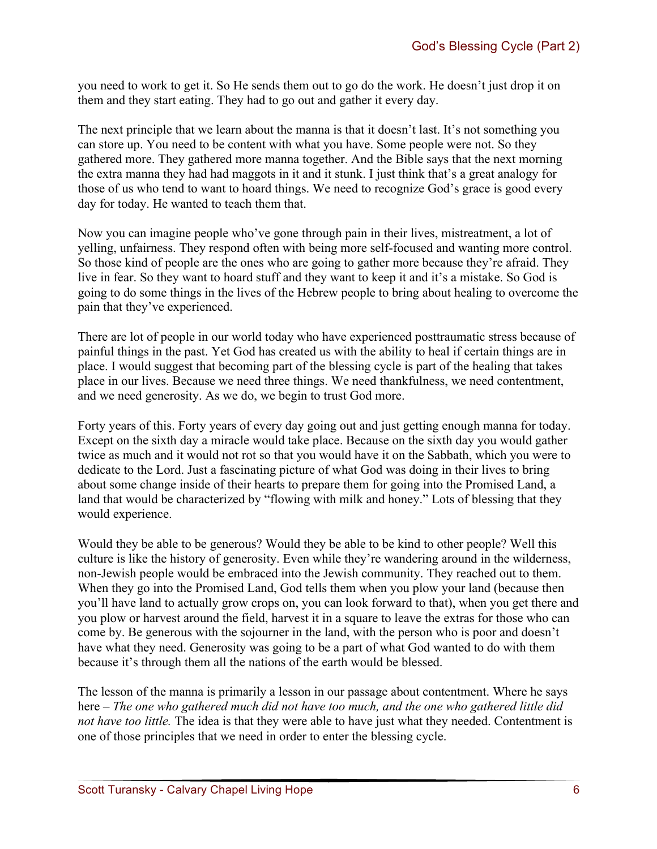you need to work to get it. So He sends them out to go do the work. He doesn't just drop it on them and they start eating. They had to go out and gather it every day.

The next principle that we learn about the manna is that it doesn't last. It's not something you can store up. You need to be content with what you have. Some people were not. So they gathered more. They gathered more manna together. And the Bible says that the next morning the extra manna they had had maggots in it and it stunk. I just think that's a great analogy for those of us who tend to want to hoard things. We need to recognize God's grace is good every day for today. He wanted to teach them that.

Now you can imagine people who've gone through pain in their lives, mistreatment, a lot of yelling, unfairness. They respond often with being more self-focused and wanting more control. So those kind of people are the ones who are going to gather more because they're afraid. They live in fear. So they want to hoard stuff and they want to keep it and it's a mistake. So God is going to do some things in the lives of the Hebrew people to bring about healing to overcome the pain that they've experienced.

There are lot of people in our world today who have experienced posttraumatic stress because of painful things in the past. Yet God has created us with the ability to heal if certain things are in place. I would suggest that becoming part of the blessing cycle is part of the healing that takes place in our lives. Because we need three things. We need thankfulness, we need contentment, and we need generosity. As we do, we begin to trust God more.

Forty years of this. Forty years of every day going out and just getting enough manna for today. Except on the sixth day a miracle would take place. Because on the sixth day you would gather twice as much and it would not rot so that you would have it on the Sabbath, which you were to dedicate to the Lord. Just a fascinating picture of what God was doing in their lives to bring about some change inside of their hearts to prepare them for going into the Promised Land, a land that would be characterized by "flowing with milk and honey." Lots of blessing that they would experience.

Would they be able to be generous? Would they be able to be kind to other people? Well this culture is like the history of generosity. Even while they're wandering around in the wilderness, non-Jewish people would be embraced into the Jewish community. They reached out to them. When they go into the Promised Land, God tells them when you plow your land (because then you'll have land to actually grow crops on, you can look forward to that), when you get there and you plow or harvest around the field, harvest it in a square to leave the extras for those who can come by. Be generous with the sojourner in the land, with the person who is poor and doesn't have what they need. Generosity was going to be a part of what God wanted to do with them because it's through them all the nations of the earth would be blessed.

The lesson of the manna is primarily a lesson in our passage about contentment. Where he says here – *The one who gathered much did not have too much, and the one who gathered little did not have too little.* The idea is that they were able to have just what they needed. Contentment is one of those principles that we need in order to enter the blessing cycle.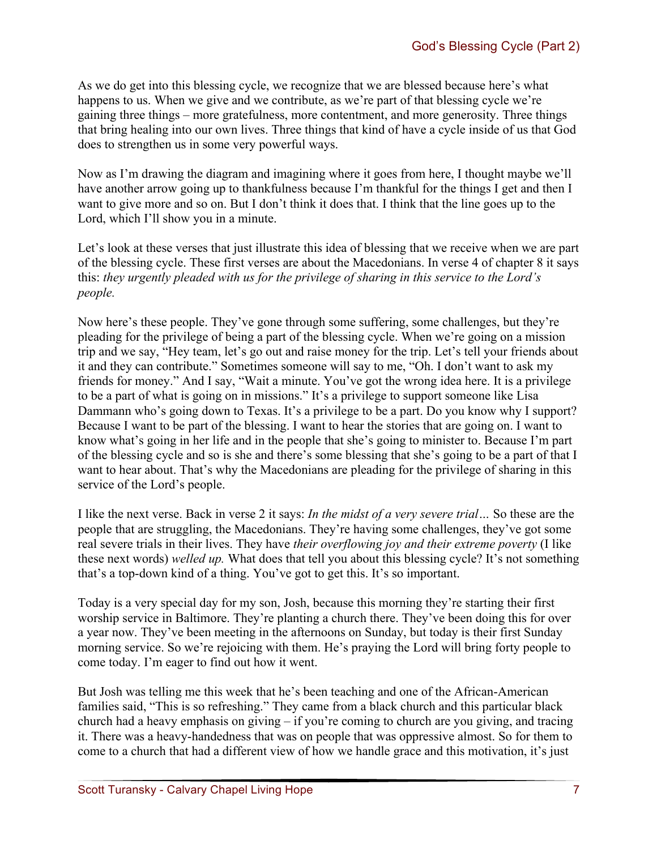As we do get into this blessing cycle, we recognize that we are blessed because here's what happens to us. When we give and we contribute, as we're part of that blessing cycle we're gaining three things – more gratefulness, more contentment, and more generosity. Three things that bring healing into our own lives. Three things that kind of have a cycle inside of us that God does to strengthen us in some very powerful ways.

Now as I'm drawing the diagram and imagining where it goes from here, I thought maybe we'll have another arrow going up to thankfulness because I'm thankful for the things I get and then I want to give more and so on. But I don't think it does that. I think that the line goes up to the Lord, which I'll show you in a minute.

Let's look at these verses that just illustrate this idea of blessing that we receive when we are part of the blessing cycle. These first verses are about the Macedonians. In verse 4 of chapter 8 it says this: *they urgently pleaded with us for the privilege of sharing in this service to the Lord's people.* 

Now here's these people. They've gone through some suffering, some challenges, but they're pleading for the privilege of being a part of the blessing cycle. When we're going on a mission trip and we say, "Hey team, let's go out and raise money for the trip. Let's tell your friends about it and they can contribute." Sometimes someone will say to me, "Oh. I don't want to ask my friends for money." And I say, "Wait a minute. You've got the wrong idea here. It is a privilege to be a part of what is going on in missions." It's a privilege to support someone like Lisa Dammann who's going down to Texas. It's a privilege to be a part. Do you know why I support? Because I want to be part of the blessing. I want to hear the stories that are going on. I want to know what's going in her life and in the people that she's going to minister to. Because I'm part of the blessing cycle and so is she and there's some blessing that she's going to be a part of that I want to hear about. That's why the Macedonians are pleading for the privilege of sharing in this service of the Lord's people.

I like the next verse. Back in verse 2 it says: *In the midst of a very severe trial…* So these are the people that are struggling, the Macedonians. They're having some challenges, they've got some real severe trials in their lives. They have *their overflowing joy and their extreme poverty* (I like these next words) *welled up.* What does that tell you about this blessing cycle? It's not something that's a top-down kind of a thing. You've got to get this. It's so important.

Today is a very special day for my son, Josh, because this morning they're starting their first worship service in Baltimore. They're planting a church there. They've been doing this for over a year now. They've been meeting in the afternoons on Sunday, but today is their first Sunday morning service. So we're rejoicing with them. He's praying the Lord will bring forty people to come today. I'm eager to find out how it went.

But Josh was telling me this week that he's been teaching and one of the African-American families said, "This is so refreshing." They came from a black church and this particular black church had a heavy emphasis on giving – if you're coming to church are you giving, and tracing it. There was a heavy-handedness that was on people that was oppressive almost. So for them to come to a church that had a different view of how we handle grace and this motivation, it's just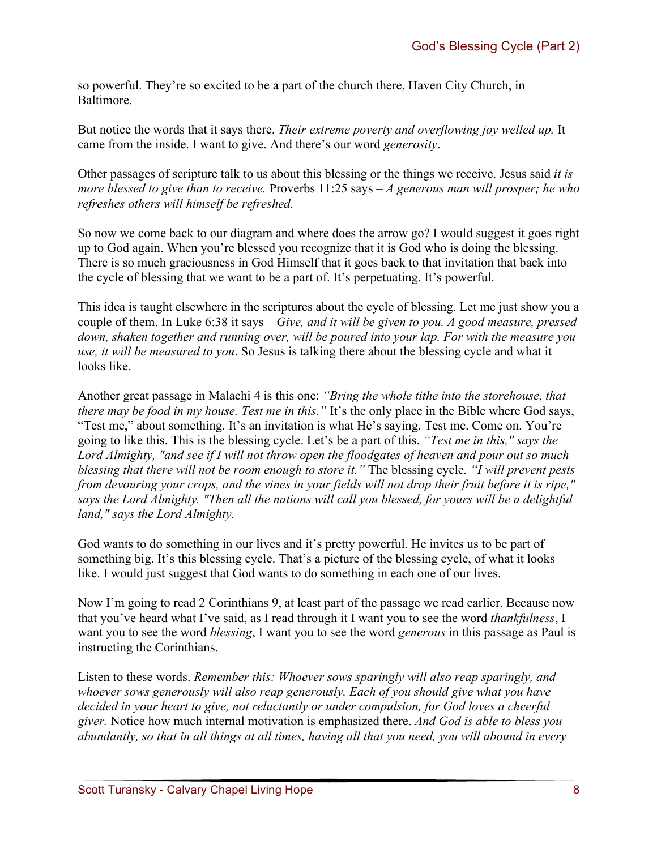so powerful. They're so excited to be a part of the church there, Haven City Church, in Baltimore.

But notice the words that it says there. *Their extreme poverty and overflowing joy welled up.* It came from the inside. I want to give. And there's our word *generosity*.

Other passages of scripture talk to us about this blessing or the things we receive. Jesus said *it is more blessed to give than to receive.* Proverbs 11:25 says – *A generous man will prosper; he who refreshes others will himself be refreshed.* 

So now we come back to our diagram and where does the arrow go? I would suggest it goes right up to God again. When you're blessed you recognize that it is God who is doing the blessing. There is so much graciousness in God Himself that it goes back to that invitation that back into the cycle of blessing that we want to be a part of. It's perpetuating. It's powerful.

This idea is taught elsewhere in the scriptures about the cycle of blessing. Let me just show you a couple of them. In Luke 6:38 it says – *Give, and it will be given to you. A good measure, pressed down, shaken together and running over, will be poured into your lap. For with the measure you use, it will be measured to you*. So Jesus is talking there about the blessing cycle and what it looks like.

Another great passage in Malachi 4 is this one: *"Bring the whole tithe into the storehouse, that there may be food in my house. Test me in this.* "It's the only place in the Bible where God says, "Test me," about something. It's an invitation is what He's saying. Test me. Come on. You're going to like this. This is the blessing cycle. Let's be a part of this. *"Test me in this," says the Lord Almighty, "and see if I will not throw open the floodgates of heaven and pour out so much blessing that there will not be room enough to store it."* The blessing cycle*. "I will prevent pests from devouring your crops, and the vines in your fields will not drop their fruit before it is ripe," says the Lord Almighty. "Then all the nations will call you blessed, for yours will be a delightful land," says the Lord Almighty.*

God wants to do something in our lives and it's pretty powerful. He invites us to be part of something big. It's this blessing cycle. That's a picture of the blessing cycle, of what it looks like. I would just suggest that God wants to do something in each one of our lives.

Now I'm going to read 2 Corinthians 9, at least part of the passage we read earlier. Because now that you've heard what I've said, as I read through it I want you to see the word *thankfulness*, I want you to see the word *blessing*, I want you to see the word *generous* in this passage as Paul is instructing the Corinthians.

Listen to these words. *Remember this: Whoever sows sparingly will also reap sparingly, and whoever sows generously will also reap generously. Each of you should give what you have decided in your heart to give, not reluctantly or under compulsion, for God loves a cheerful giver.* Notice how much internal motivation is emphasized there. *And God is able to bless you abundantly, so that in all things at all times, having all that you need, you will abound in every*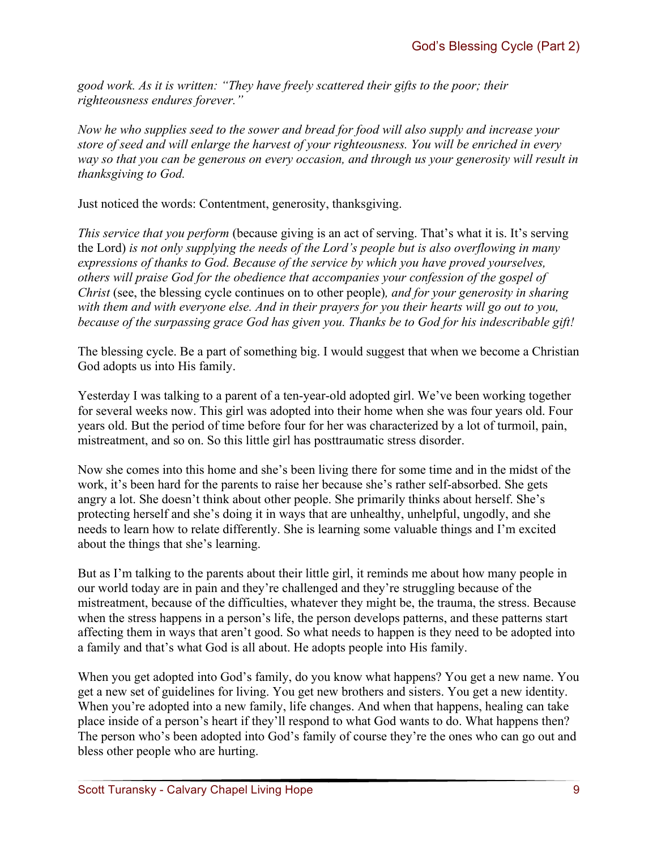*good work. As it is written: "They have freely scattered their gifts to the poor; their righteousness endures forever."*

*Now he who supplies seed to the sower and bread for food will also supply and increase your store of seed and will enlarge the harvest of your righteousness. You will be enriched in every way so that you can be generous on every occasion, and through us your generosity will result in thanksgiving to God.*

Just noticed the words: Contentment, generosity, thanksgiving.

*This service that you perform* (because giving is an act of serving. That's what it is. It's serving the Lord) *is not only supplying the needs of the Lord's people but is also overflowing in many expressions of thanks to God. Because of the service by which you have proved yourselves, others will praise God for the obedience that accompanies your confession of the gospel of Christ* (see, the blessing cycle continues on to other people)*, and for your generosity in sharing with them and with everyone else. And in their prayers for you their hearts will go out to you, because of the surpassing grace God has given you. Thanks be to God for his indescribable gift!*

The blessing cycle. Be a part of something big. I would suggest that when we become a Christian God adopts us into His family.

Yesterday I was talking to a parent of a ten-year-old adopted girl. We've been working together for several weeks now. This girl was adopted into their home when she was four years old. Four years old. But the period of time before four for her was characterized by a lot of turmoil, pain, mistreatment, and so on. So this little girl has posttraumatic stress disorder.

Now she comes into this home and she's been living there for some time and in the midst of the work, it's been hard for the parents to raise her because she's rather self-absorbed. She gets angry a lot. She doesn't think about other people. She primarily thinks about herself. She's protecting herself and she's doing it in ways that are unhealthy, unhelpful, ungodly, and she needs to learn how to relate differently. She is learning some valuable things and I'm excited about the things that she's learning.

But as I'm talking to the parents about their little girl, it reminds me about how many people in our world today are in pain and they're challenged and they're struggling because of the mistreatment, because of the difficulties, whatever they might be, the trauma, the stress. Because when the stress happens in a person's life, the person develops patterns, and these patterns start affecting them in ways that aren't good. So what needs to happen is they need to be adopted into a family and that's what God is all about. He adopts people into His family.

When you get adopted into God's family, do you know what happens? You get a new name. You get a new set of guidelines for living. You get new brothers and sisters. You get a new identity. When you're adopted into a new family, life changes. And when that happens, healing can take place inside of a person's heart if they'll respond to what God wants to do. What happens then? The person who's been adopted into God's family of course they're the ones who can go out and bless other people who are hurting.